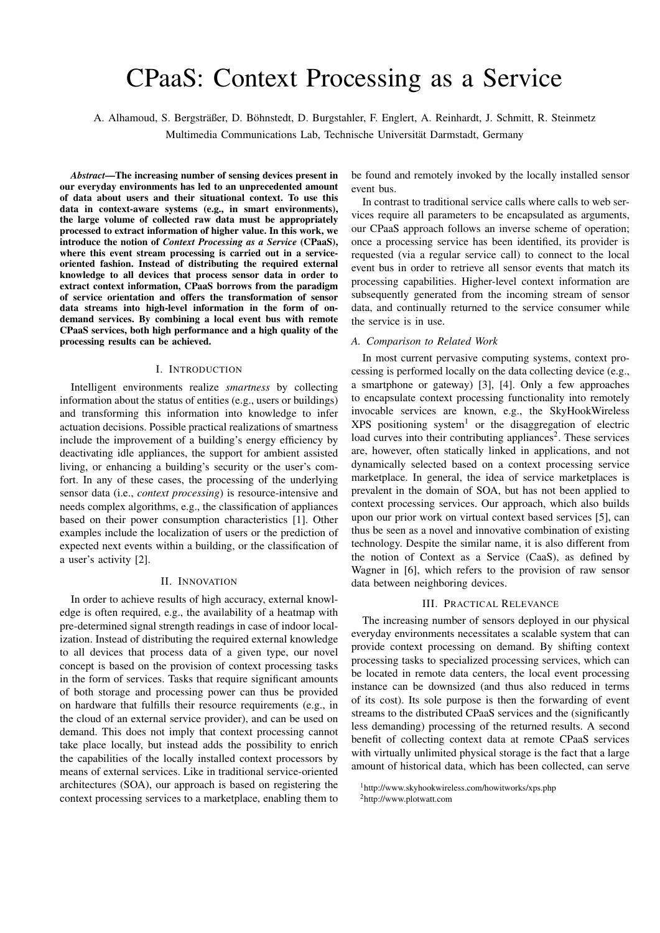# CPaaS: Context Processing as a Service

A. Alhamoud, S. Bergsträßer, D. Böhnstedt, D. Burgstahler, F. Englert, A. Reinhardt, J. Schmitt, R. Steinmetz

Multimedia Communications Lab, Technische Universitat Darmstadt, Germany ¨

*Abstract*—The increasing number of sensing devices present in our everyday environments has led to an unprecedented amount of data about users and their situational context. To use this data in context-aware systems (e.g., in smart environments), the large volume of collected raw data must be appropriately processed to extract information of higher value. In this work, we introduce the notion of *Context Processing as a Service* (CPaaS), where this event stream processing is carried out in a serviceoriented fashion. Instead of distributing the required external knowledge to all devices that process sensor data in order to extract context information, CPaaS borrows from the paradigm of service orientation and offers the transformation of sensor data streams into high-level information in the form of ondemand services. By combining a local event bus with remote CPaaS services, both high performance and a high quality of the processing results can be achieved.

### I. INTRODUCTION

Intelligent environments realize *smartness* by collecting information about the status of entities (e.g., users or buildings) and transforming this information into knowledge to infer actuation decisions. Possible practical realizations of smartness include the improvement of a building's energy efficiency by deactivating idle appliances, the support for ambient assisted living, or enhancing a building's security or the user's comfort. In any of these cases, the processing of the underlying sensor data (i.e., *context processing*) is resource-intensive and needs complex algorithms, e.g., the classification of appliances based on their power consumption characteristics [1]. Other examples include the localization of users or the prediction of expected next events within a building, or the classification of a user's activity [2].

## II. INNOVATION

In order to achieve results of high accuracy, external knowledge is often required, e.g., the availability of a heatmap with pre-determined signal strength readings in case of indoor localization. Instead of distributing the required external knowledge to all devices that process data of a given type, our novel concept is based on the provision of context processing tasks in the form of services. Tasks that require significant amounts of both storage and processing power can thus be provided on hardware that fulfills their resource requirements (e.g., in the cloud of an external service provider), and can be used on demand. This does not imply that context processing cannot take place locally, but instead adds the possibility to enrich the capabilities of the locally installed context processors by means of external services. Like in traditional service-oriented architectures (SOA), our approach is based on registering the context processing services to a marketplace, enabling them to be found and remotely invoked by the locally installed sensor event bus.

In contrast to traditional service calls where calls to web services require all parameters to be encapsulated as arguments, our CPaaS approach follows an inverse scheme of operation; once a processing service has been identified, its provider is requested (via a regular service call) to connect to the local event bus in order to retrieve all sensor events that match its processing capabilities. Higher-level context information are subsequently generated from the incoming stream of sensor data, and continually returned to the service consumer while the service is in use.

#### *A. Comparison to Related Work*

In most current pervasive computing systems, context processing is performed locally on the data collecting device (e.g., a smartphone or gateway) [3], [4]. Only a few approaches to encapsulate context processing functionality into remotely invocable services are known, e.g., the SkyHookWireless  $XPS$  positioning system<sup>1</sup> or the disaggregation of electric load curves into their contributing appliances<sup>2</sup>. These services are, however, often statically linked in applications, and not dynamically selected based on a context processing service marketplace. In general, the idea of service marketplaces is prevalent in the domain of SOA, but has not been applied to context processing services. Our approach, which also builds upon our prior work on virtual context based services [5], can thus be seen as a novel and innovative combination of existing technology. Despite the similar name, it is also different from the notion of Context as a Service (CaaS), as defined by Wagner in [6], which refers to the provision of raw sensor data between neighboring devices.

## III. PRACTICAL RELEVANCE

The increasing number of sensors deployed in our physical everyday environments necessitates a scalable system that can provide context processing on demand. By shifting context processing tasks to specialized processing services, which can be located in remote data centers, the local event processing instance can be downsized (and thus also reduced in terms of its cost). Its sole purpose is then the forwarding of event streams to the distributed CPaaS services and the (significantly less demanding) processing of the returned results. A second benefit of collecting context data at remote CPaaS services with virtually unlimited physical storage is the fact that a large amount of historical data, which has been collected, can serve

<sup>&</sup>lt;sup>1</sup>http://www.skyhookwireless.com/howitworks/xps.php 2http://www.plotwatt.com